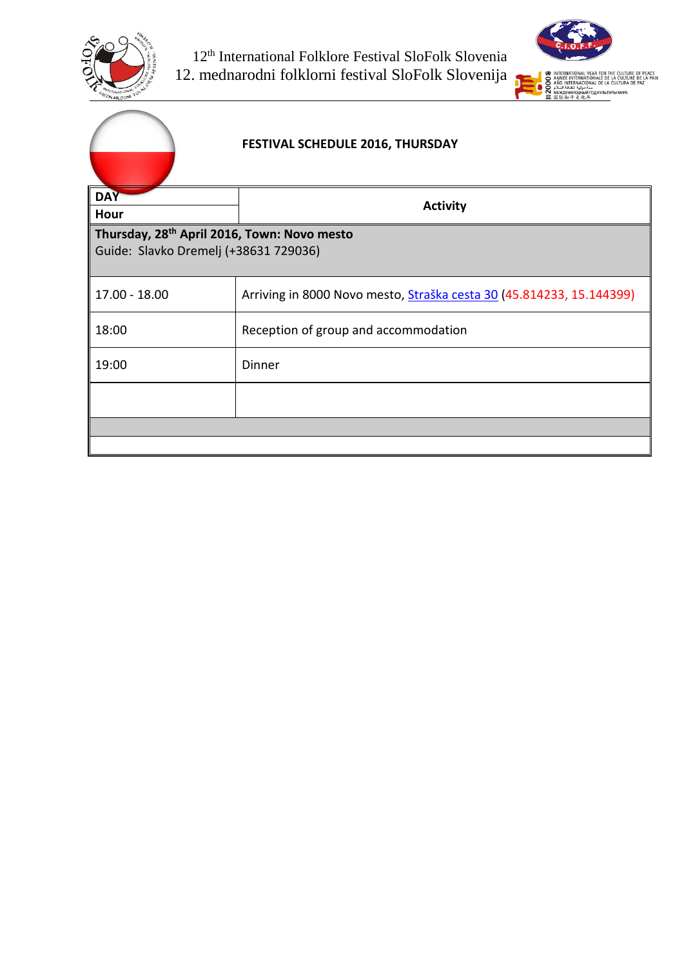



| <b>FESTIVAL SCHEDULE 2016, THURSDAY</b>                                                          |                                                                             |  |
|--------------------------------------------------------------------------------------------------|-----------------------------------------------------------------------------|--|
| <b>DAY</b>                                                                                       | <b>Activity</b>                                                             |  |
| Hour                                                                                             |                                                                             |  |
| Thursday, 28 <sup>th</sup> April 2016, Town: Novo mesto<br>Guide: Slavko Dremelj (+38631 729036) |                                                                             |  |
| 17.00 - 18.00                                                                                    | Arriving in 8000 Novo mesto, <i>Straška cesta 30 (45.814233, 15.144399)</i> |  |
| 18:00                                                                                            | Reception of group and accommodation                                        |  |
| 19:00                                                                                            | <b>Dinner</b>                                                               |  |
|                                                                                                  |                                                                             |  |
|                                                                                                  |                                                                             |  |
|                                                                                                  |                                                                             |  |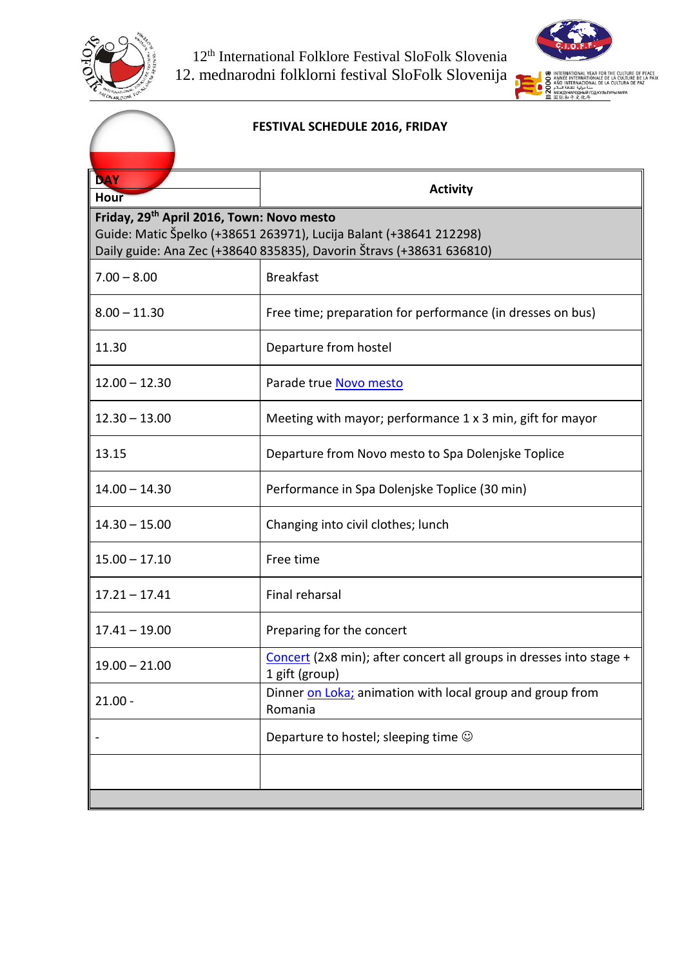



### **FESTIVAL SCHEDULE 2016, FRIDAY DAY Activity Activity Friday, 29 th April 2016, Town: Novo mesto** Guide: Matic Špelko (+38651 263971), Lucija Balant (+38641 212298) Daily guide: Ana Zec (+38640 835835), Davorin Štravs (+38631 636810) 7.00 – 8.00 Breakfast 8.00 – 11.30 Free time; preparation for performance (in dresses on bus) 11.30 Departure from hostel 12.00 – 12.30 Parade true [Novo mesto](https://www.google.si/search?q=novo+mesto&espv=2&biw=1920&bih=955&source=lnms&tbm=isch&sa=X&ved=0ahUKEwjZ9pLcvaLMAhWDlCwKHVg-AuUQ_AUIBigB#tbm=isch&q=novo+mesto+glavni+trg) 12.30 – 13.00 Meeting with mayor; performance 1 x 3 min, gift for mayor 13.15 Departure from Novo mesto to Spa Dolenjske Toplice 14.00 – 14.30 Performance in Spa Dolenjske Toplice (30 min) 14.30 – 15.00 Changing into civil clothes; lunch 15.00 – 17.10 Free time 17.21 – 17.41 Final reharsal 17.41 – 19.00 | Preparing for the concert 19.00 – 21.00 [Concert](https://www.google.si/search?q=kulturni+center+janeza+trdine&espv=2&biw=1920&bih=955&source=lnms&tbm=isch&sa=X&ved=0ahUKEwj-oKuBvqLMAhWMWywKHbpJBNQQ_AUIBigB) (2x8 min); after concert all groups in dresses into stage + 1 gift (group) 21.00 Dinner [on Loka;](https://vimeo.com/127860541) animation with local group and group from Romania Departure to hostel; sleeping time  $\odot$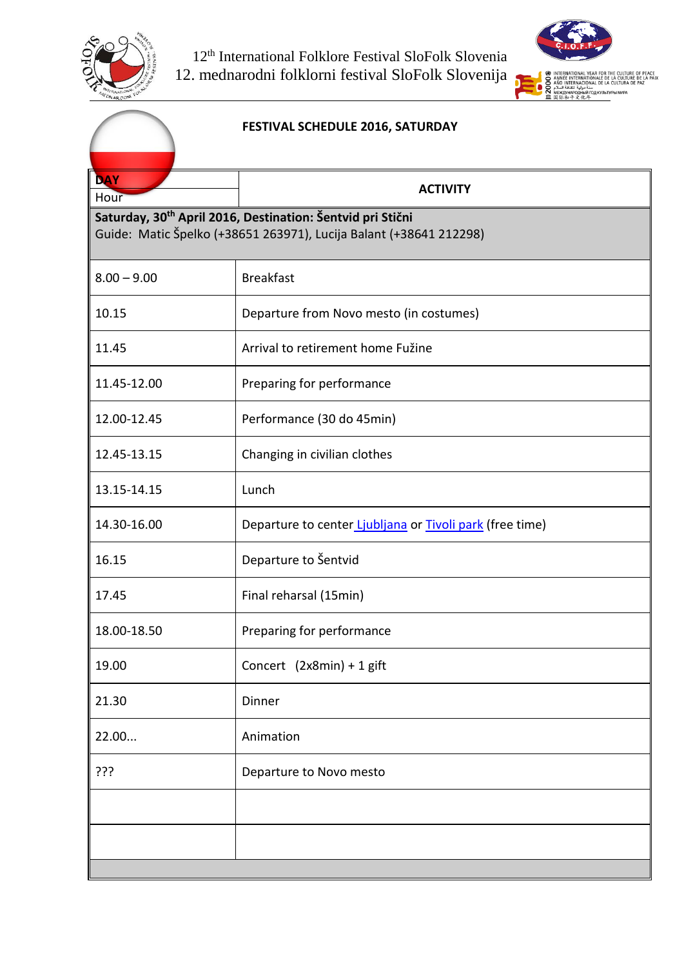



## **FESTIVAL SCHEDULE 2016, SATURDAY DAY ACTIVITY**<br>Hour **Saturday, 30th April 2016, Destination: Šentvid pri Stični** Guide: Matic Špelko (+38651 263971), Lucija Balant (+38641 212298) 8.00 – 9.00 Breakfast 10.15 Departure from Novo mesto (in costumes) 11.45 Arrival to retirement home Fužine 11.45-12.00 Preparing for performance 12.00-12.45 Performance (30 do 45min) 12.45-13.15 Changing in civilian clothes 13.15-14.15 Lunch 14.30-16.00 Departure to center [Ljubljana](https://www.google.si/search?q=ljubljana&espv=2&biw=1920&bih=955&source=lnms&tbm=isch&sa=X&ved=0ahUKEwjy2umIwKLMAhVM2SwKHVBfCcoQ_AUIBigB) or [Tivoli park](https://www.google.si/search?q=tivolski+park&espv=2&biw=1920&bih=955&source=lnms&tbm=isch&sa=X&ved=0ahUKEwj9_JeWwKLMAhXIESwKHQXjDK0Q_AUIBygC) (free time) 16.15 Departure to Šentvid 17.45 Final reharsal (15min) 18.00-18.50 | Preparing for performance 19.00 Concert (2x8min) + 1 gift 21.30 Dinner 22.00... Animation ??? Departure to Novo mesto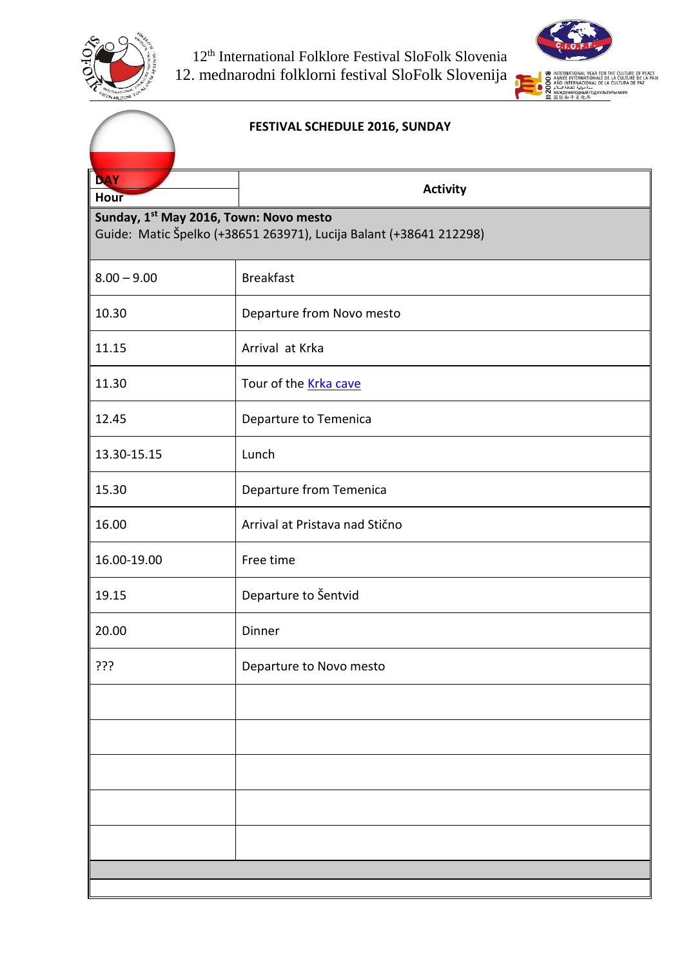



#### **FESTIVAL SCHEDULE 2016, SUNDAY**

| <b>DAY</b>                                                                                                                              | <b>Activity</b>                |  |
|-----------------------------------------------------------------------------------------------------------------------------------------|--------------------------------|--|
| <b>Hour</b><br>Sunday, 1 <sup>st</sup> May 2016, Town: Novo mesto<br>Guide: Matic Špelko (+38651 263971), Lucija Balant (+38641 212298) |                                |  |
| $8.00 - 9.00$                                                                                                                           | <b>Breakfast</b>               |  |
| 10.30                                                                                                                                   | Departure from Novo mesto      |  |
| 11.15                                                                                                                                   | Arrival at Krka                |  |
| 11.30                                                                                                                                   | Tour of the <b>Krka cave</b>   |  |
| 12.45                                                                                                                                   | Departure to Temenica          |  |
| 13.30-15.15                                                                                                                             | Lunch                          |  |
| 15.30                                                                                                                                   | Departure from Temenica        |  |
| 16.00                                                                                                                                   | Arrival at Pristava nad Stično |  |
| 16.00-19.00                                                                                                                             | Free time                      |  |
| 19.15                                                                                                                                   | Departure to Šentvid           |  |
| 20.00                                                                                                                                   | Dinner                         |  |
| 255                                                                                                                                     | Departure to Novo mesto        |  |
|                                                                                                                                         |                                |  |
|                                                                                                                                         |                                |  |
|                                                                                                                                         |                                |  |
|                                                                                                                                         |                                |  |
|                                                                                                                                         |                                |  |
|                                                                                                                                         |                                |  |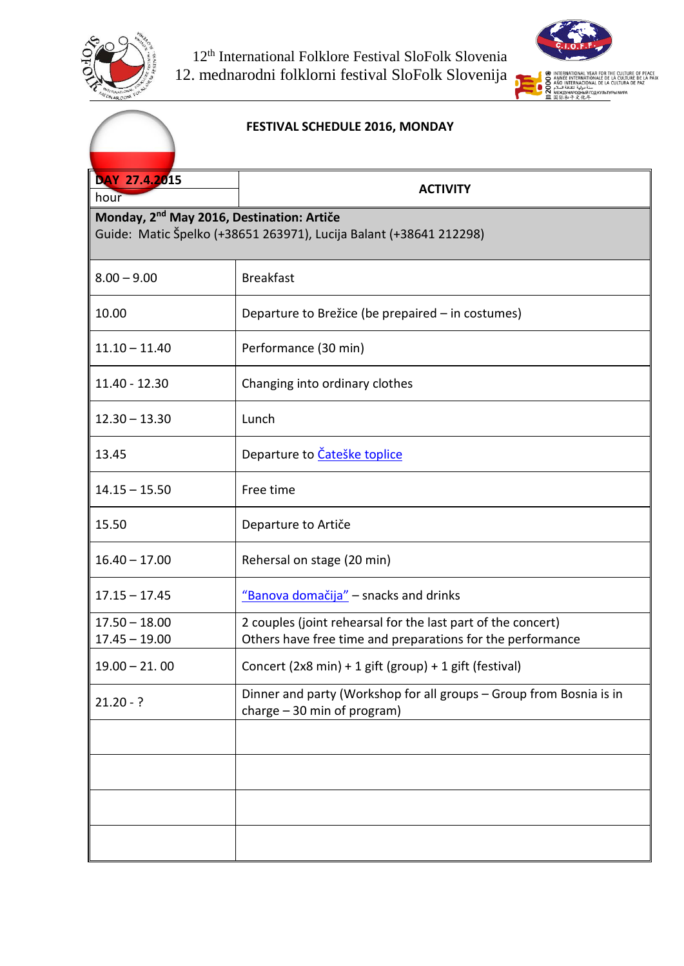



#### **FESTIVAL SCHEDULE 2016, MONDAY**

| DAY 27.4.2015                                                                                                               | <b>ACTIVITY</b>                                                                                                            |  |
|-----------------------------------------------------------------------------------------------------------------------------|----------------------------------------------------------------------------------------------------------------------------|--|
| hour                                                                                                                        |                                                                                                                            |  |
| Monday, 2 <sup>nd</sup> May 2016, Destination: Artiče<br>Guide: Matic Špelko (+38651 263971), Lucija Balant (+38641 212298) |                                                                                                                            |  |
|                                                                                                                             |                                                                                                                            |  |
| $8.00 - 9.00$                                                                                                               | <b>Breakfast</b>                                                                                                           |  |
| 10.00                                                                                                                       | Departure to Brežice (be prepaired - in costumes)                                                                          |  |
| $11.10 - 11.40$                                                                                                             | Performance (30 min)                                                                                                       |  |
| 11.40 - 12.30                                                                                                               | Changing into ordinary clothes                                                                                             |  |
| $12.30 - 13.30$                                                                                                             | Lunch                                                                                                                      |  |
| 13.45                                                                                                                       | Departure to Čateške toplice                                                                                               |  |
| $14.15 - 15.50$                                                                                                             | Free time                                                                                                                  |  |
| 15.50                                                                                                                       | Departure to Artiče                                                                                                        |  |
| $16.40 - 17.00$                                                                                                             | Rehersal on stage (20 min)                                                                                                 |  |
| $17.15 - 17.45$                                                                                                             | "Banova domačija" - snacks and drinks                                                                                      |  |
| $17.50 - 18.00$<br>$17.45 - 19.00$                                                                                          | 2 couples (joint rehearsal for the last part of the concert)<br>Others have free time and preparations for the performance |  |
| $19.00 - 21.00$                                                                                                             | Concert (2x8 min) + 1 gift (group) + 1 gift (festival)                                                                     |  |
| $21.20 - ?$                                                                                                                 | Dinner and party (Workshop for all groups - Group from Bosnia is in<br>charge $-30$ min of program)                        |  |
|                                                                                                                             |                                                                                                                            |  |
|                                                                                                                             |                                                                                                                            |  |
|                                                                                                                             |                                                                                                                            |  |
|                                                                                                                             |                                                                                                                            |  |